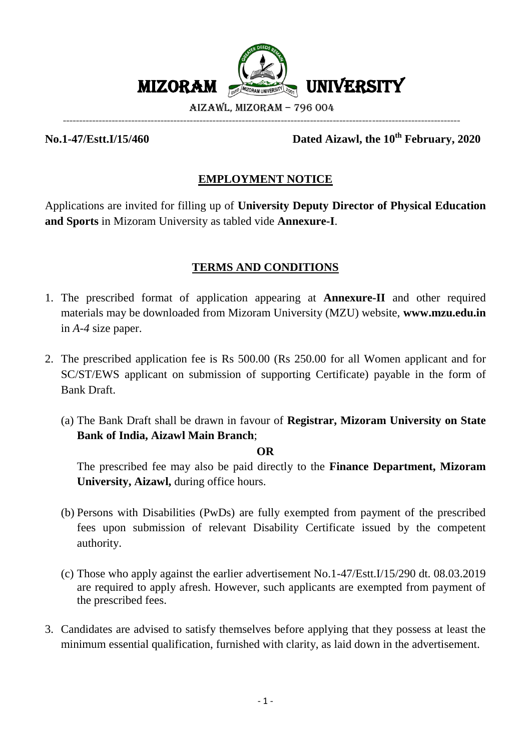

**No.1-47/Estt.I/15/460 Dated Aizawl, the 10th February, 2020**

# **EMPLOYMENT NOTICE**

Applications are invited for filling up of **University Deputy Director of Physical Education and Sports** in Mizoram University as tabled vide **Annexure-I**.

# **TERMS AND CONDITIONS**

- 1. The prescribed format of application appearing at **Annexure-II** and other required materials may be downloaded from Mizoram University (MZU) website, **www.mzu.edu.in**  in *A-4* size paper.
- 2. The prescribed application fee is Rs 500.00 (Rs 250.00 for all Women applicant and for SC/ST/EWS applicant on submission of supporting Certificate) payable in the form of Bank Draft.
	- (a) The Bank Draft shall be drawn in favour of **Registrar, Mizoram University on State Bank of India, Aizawl Main Branch**;

#### **OR**

The prescribed fee may also be paid directly to the **Finance Department, Mizoram University, Aizawl,** during office hours.

- (b) Persons with Disabilities (PwDs) are fully exempted from payment of the prescribed fees upon submission of relevant Disability Certificate issued by the competent authority.
- (c) Those who apply against the earlier advertisement No.1-47/Estt.I/15/290 dt. 08.03.2019 are required to apply afresh. However, such applicants are exempted from payment of the prescribed fees.
- 3. Candidates are advised to satisfy themselves before applying that they possess at least the minimum essential qualification, furnished with clarity, as laid down in the advertisement.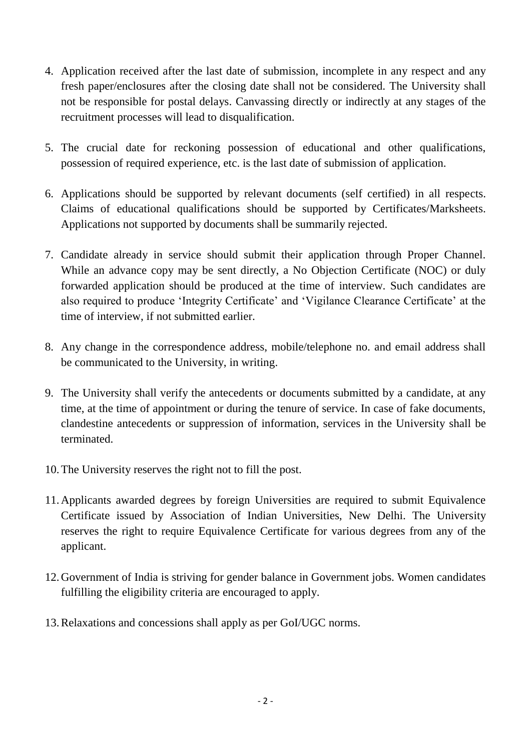- 4. Application received after the last date of submission, incomplete in any respect and any fresh paper/enclosures after the closing date shall not be considered. The University shall not be responsible for postal delays. Canvassing directly or indirectly at any stages of the recruitment processes will lead to disqualification.
- 5. The crucial date for reckoning possession of educational and other qualifications, possession of required experience, etc. is the last date of submission of application.
- 6. Applications should be supported by relevant documents (self certified) in all respects. Claims of educational qualifications should be supported by Certificates/Marksheets. Applications not supported by documents shall be summarily rejected.
- 7. Candidate already in service should submit their application through Proper Channel. While an advance copy may be sent directly, a No Objection Certificate (NOC) or duly forwarded application should be produced at the time of interview. Such candidates are also required to produce 'Integrity Certificate' and 'Vigilance Clearance Certificate' at the time of interview, if not submitted earlier.
- 8. Any change in the correspondence address, mobile/telephone no. and email address shall be communicated to the University, in writing.
- 9. The University shall verify the antecedents or documents submitted by a candidate, at any time, at the time of appointment or during the tenure of service. In case of fake documents, clandestine antecedents or suppression of information, services in the University shall be terminated.
- 10.The University reserves the right not to fill the post.
- 11.Applicants awarded degrees by foreign Universities are required to submit Equivalence Certificate issued by Association of Indian Universities, New Delhi. The University reserves the right to require Equivalence Certificate for various degrees from any of the applicant.
- 12.Government of India is striving for gender balance in Government jobs. Women candidates fulfilling the eligibility criteria are encouraged to apply.
- 13.Relaxations and concessions shall apply as per GoI/UGC norms.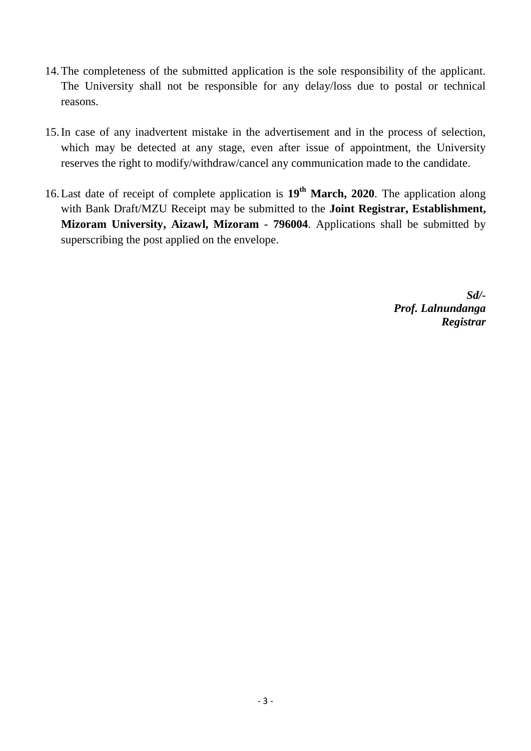- 14.The completeness of the submitted application is the sole responsibility of the applicant. The University shall not be responsible for any delay/loss due to postal or technical reasons.
- 15.In case of any inadvertent mistake in the advertisement and in the process of selection, which may be detected at any stage, even after issue of appointment, the University reserves the right to modify/withdraw/cancel any communication made to the candidate.
- 16.Last date of receipt of complete application is **19th March, 2020**. The application along with Bank Draft/MZU Receipt may be submitted to the **Joint Registrar, Establishment, Mizoram University, Aizawl, Mizoram - 796004**. Applications shall be submitted by superscribing the post applied on the envelope.

*Sd/- Prof. Lalnundanga Registrar*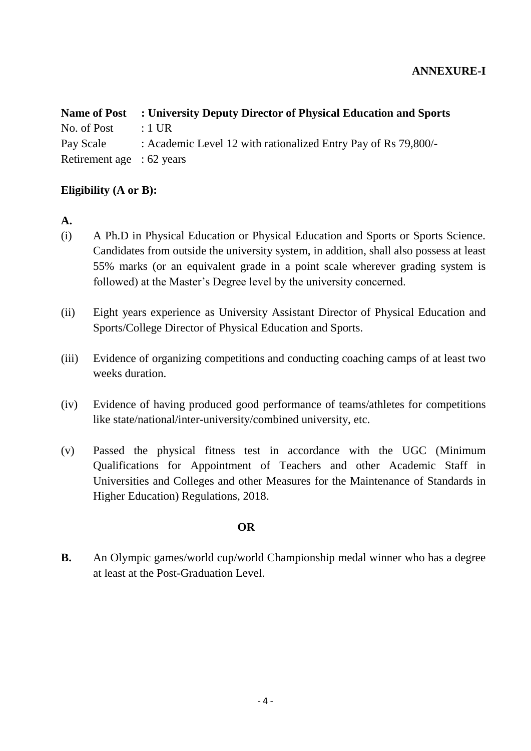## **ANNEXURE-I**

| <b>Name of Post</b>       | : University Deputy Director of Physical Education and Sports  |
|---------------------------|----------------------------------------------------------------|
| No. of Post               | $\therefore$ 1 UR                                              |
| Pay Scale                 | : Academic Level 12 with rationalized Entry Pay of Rs 79,800/- |
| Retirement age : 62 years |                                                                |

## **Eligibility (A or B):**

**A.**

- (i) A Ph.D in Physical Education or Physical Education and Sports or Sports Science. Candidates from outside the university system, in addition, shall also possess at least 55% marks (or an equivalent grade in a point scale wherever grading system is followed) at the Master's Degree level by the university concerned.
- (ii) Eight years experience as University Assistant Director of Physical Education and Sports/College Director of Physical Education and Sports.
- (iii) Evidence of organizing competitions and conducting coaching camps of at least two weeks duration.
- (iv) Evidence of having produced good performance of teams/athletes for competitions like state/national/inter-university/combined university, etc.
- (v) Passed the physical fitness test in accordance with the UGC (Minimum Qualifications for Appointment of Teachers and other Academic Staff in Universities and Colleges and other Measures for the Maintenance of Standards in Higher Education) Regulations, 2018.

## **OR**

**B.** An Olympic games/world cup/world Championship medal winner who has a degree at least at the Post-Graduation Level.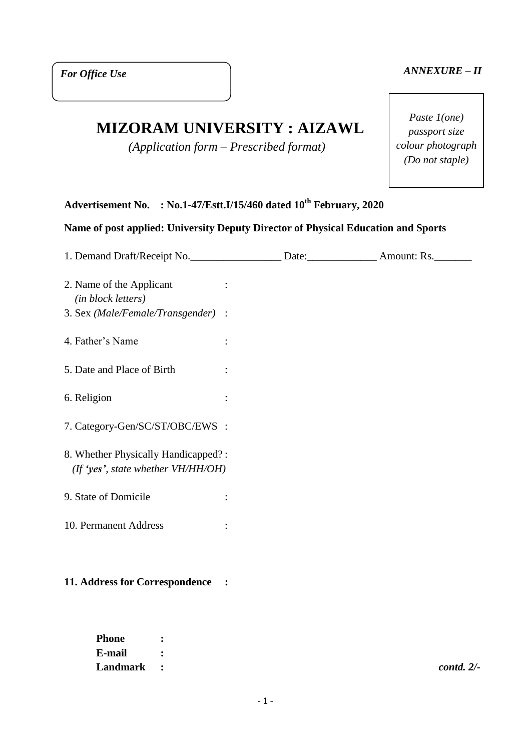## *ANNEXURE – II*

# **MIZORAM UNIVERSITY : AIZAWL**

*(Application form – Prescribed format)*

*Paste 1(one) passport size colour photograph (Do not staple)*

# **Advertisement No. : No.1-47/Estt.I/15/460 dated 10th February, 2020**

# **Name of post applied: University Deputy Director of Physical Education and Sports**

| 1. Demand Draft/Receipt No. ______________________ Date: ________________ Amount: Rs. |  |  |
|---------------------------------------------------------------------------------------|--|--|
| 2. Name of the Applicant<br>(in block letters)<br>3. Sex (Male/Female/Transgender) :  |  |  |
| 4. Father's Name                                                                      |  |  |
| 5. Date and Place of Birth                                                            |  |  |
| 6. Religion                                                                           |  |  |
| 7. Category-Gen/SC/ST/OBC/EWS :                                                       |  |  |
| 8. Whether Physically Handicapped?:<br>(If 'yes', state whether $VH/HH/OH$ )          |  |  |
| 9. State of Domicile                                                                  |  |  |
| 10. Permanent Address                                                                 |  |  |
|                                                                                       |  |  |

## **11. Address for Correspondence :**

| Phone      | $\bullet$ |  |               |
|------------|-----------|--|---------------|
| E-mail     |           |  |               |
| Landmark : |           |  | $contd. 2/$ - |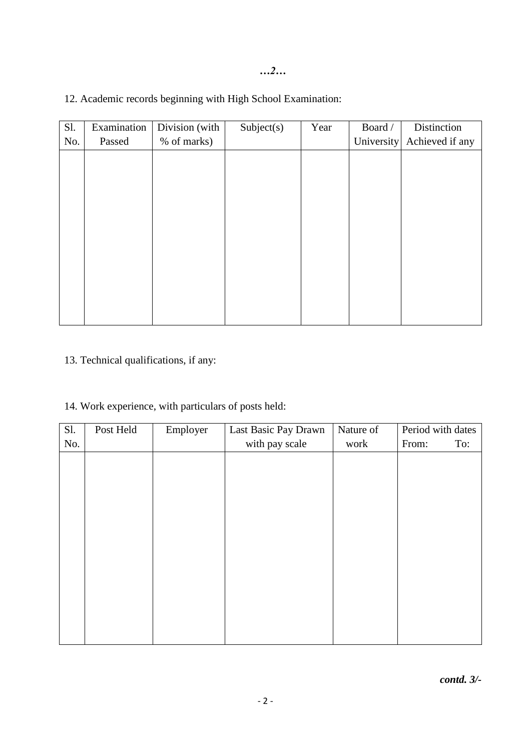| Sl. | Examination | Division (with | Subject(s) | Year | Board /    | Distinction     |
|-----|-------------|----------------|------------|------|------------|-----------------|
| No. | Passed      | % of marks)    |            |      | University | Achieved if any |
|     |             |                |            |      |            |                 |
|     |             |                |            |      |            |                 |
|     |             |                |            |      |            |                 |
|     |             |                |            |      |            |                 |
|     |             |                |            |      |            |                 |
|     |             |                |            |      |            |                 |
|     |             |                |            |      |            |                 |
|     |             |                |            |      |            |                 |
|     |             |                |            |      |            |                 |
|     |             |                |            |      |            |                 |
|     |             |                |            |      |            |                 |
|     |             |                |            |      |            |                 |
|     |             |                |            |      |            |                 |

12. Academic records beginning with High School Examination:

13. Technical qualifications, if any:

# 14. Work experience, with particulars of posts held:

| Sl. | Post Held | Employer | Last Basic Pay Drawn | Nature of | Period with dates |
|-----|-----------|----------|----------------------|-----------|-------------------|
| No. |           |          | with pay scale       | work      | From:<br>To:      |
|     |           |          |                      |           |                   |
|     |           |          |                      |           |                   |
|     |           |          |                      |           |                   |
|     |           |          |                      |           |                   |
|     |           |          |                      |           |                   |
|     |           |          |                      |           |                   |
|     |           |          |                      |           |                   |
|     |           |          |                      |           |                   |
|     |           |          |                      |           |                   |
|     |           |          |                      |           |                   |
|     |           |          |                      |           |                   |
|     |           |          |                      |           |                   |
|     |           |          |                      |           |                   |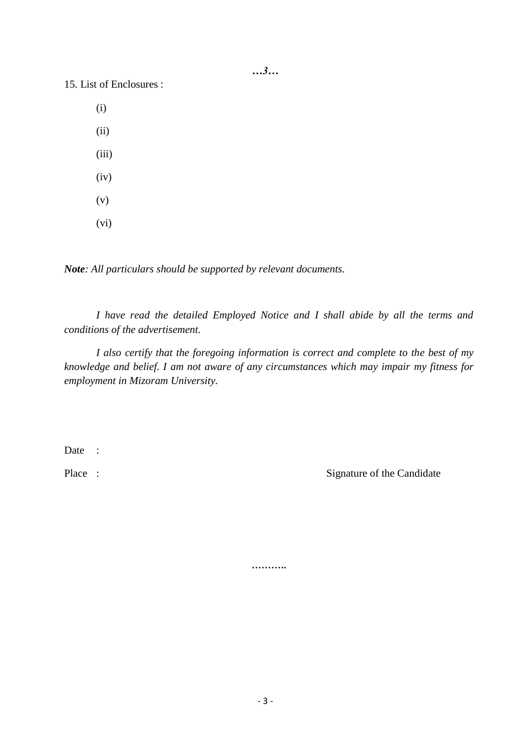*…3…*

15. List of Enclosures :

(i)

(ii)

- (iii)
- (iv)
- (v)
- (vi)

*Note: All particulars should be supported by relevant documents.*

*I have read the detailed Employed Notice and I shall abide by all the terms and conditions of the advertisement.*

*I also certify that the foregoing information is correct and complete to the best of my knowledge and belief. I am not aware of any circumstances which may impair my fitness for employment in Mizoram University.*

Date :

Place : Signature of the Candidate

**………..**